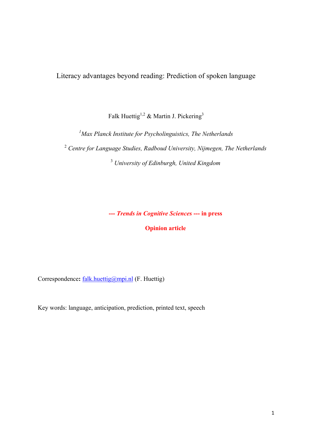Literacy advantages beyond reading: Prediction of spoken language

Falk Huettig<sup>1,2</sup> & Martin J. Pickering<sup>3</sup>

*1 Max Planck Institute for Psycholinguistics, The Netherlands* <sup>2</sup> *Centre for Language Studies, Radboud University, Nijmegen, The Netherlands* <sup>3</sup> *University of Edinburgh, United Kingdom*

**---** *Trends in Cognitive Sciences* **--- in press**

**Opinion article**

Correspondence: falk.huettig@mpi.nl (F. Huettig)

Key words: language, anticipation, prediction, printed text, speech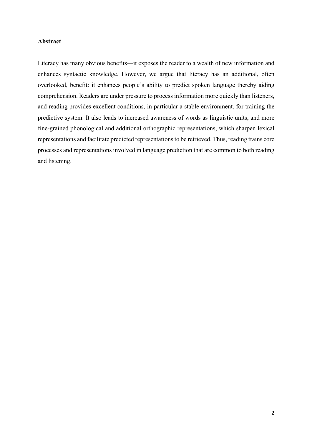## **Abstract**

Literacy has many obvious benefits—it exposes the reader to a wealth of new information and enhances syntactic knowledge. However, we argue that literacy has an additional, often overlooked, benefit: it enhances people's ability to predict spoken language thereby aiding comprehension. Readers are under pressure to process information more quickly than listeners, and reading provides excellent conditions, in particular a stable environment, for training the predictive system. It also leads to increased awareness of words as linguistic units, and more fine-grained phonological and additional orthographic representations, which sharpen lexical representations and facilitate predicted representations to be retrieved. Thus, reading trains core processes and representations involved in language prediction that are common to both reading and listening.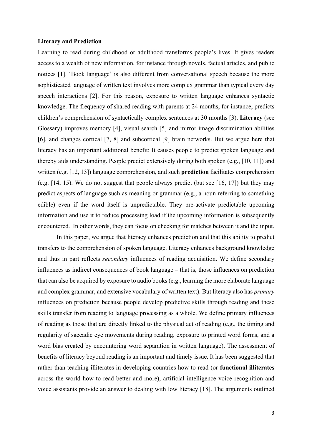#### **Literacy and Prediction**

Learning to read during childhood or adulthood transforms people's lives. It gives readers access to a wealth of new information, for instance through novels, factual articles, and public notices [1]. 'Book language' is also different from conversational speech because the more sophisticated language of written text involves more complex grammar than typical every day speech interactions [2]. For this reason, exposure to written language enhances syntactic knowledge. The frequency of shared reading with parents at 24 months, for instance, predicts children's comprehension of syntactically complex sentences at 30 months [3). **Literacy** (see Glossary) improves memory [4], visual search [5] and mirror image discrimination abilities [6], and changes cortical [7, 8] and subcortical [9] brain networks. But we argue here that literacy has an important additional benefit: It causes people to predict spoken language and thereby aids understanding. People predict extensively during both spoken (e.g., [10, 11]) and written (e.g. [12, 13]) language comprehension, and such **prediction** facilitates comprehension (e.g. [14, 15). We do not suggest that people always predict (but see [16, 17]) but they may predict aspects of language such as meaning or grammar (e.g., a noun referring to something edible) even if the word itself is unpredictable. They pre-activate predictable upcoming information and use it to reduce processing load if the upcoming information is subsequently encountered. In other words, they can focus on checking for matches between it and the input.

In this paper, we argue that literacy enhances prediction and that this ability to predict transfers to the comprehension of spoken language. Literacy enhances background knowledge and thus in part reflects *secondary* influences of reading acquisition. We define secondary influences as indirect consequences of book language – that is, those influences on prediction that can also be acquired by exposure to audio books (e.g., learning the more elaborate language and complex grammar, and extensive vocabulary of written text). But literacy also has *primary* influences on prediction because people develop predictive skills through reading and these skills transfer from reading to language processing as a whole. We define primary influences of reading as those that are directly linked to the physical act of reading (e.g., the timing and regularity of saccadic eye movements during reading, exposure to printed word forms, and a word bias created by encountering word separation in written language). The assessment of benefits of literacy beyond reading is an important and timely issue. It has been suggested that rather than teaching illiterates in developing countries how to read (or **functional illiterates** across the world how to read better and more), artificial intelligence voice recognition and voice assistants provide an answer to dealing with low literacy [18]. The arguments outlined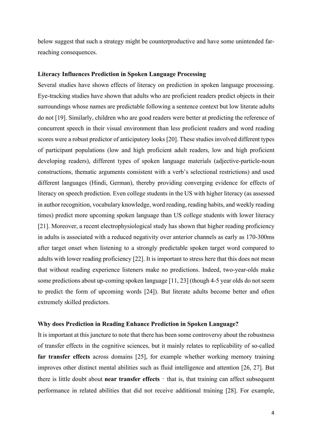below suggest that such a strategy might be counterproductive and have some unintended farreaching consequences.

## **Literacy Influences Prediction in Spoken Language Processing**

Several studies have shown effects of literacy on prediction in spoken language processing. Eye-tracking studies have shown that adults who are proficient readers predict objects in their surroundings whose names are predictable following a sentence context but low literate adults do not [19]. Similarly, children who are good readers were better at predicting the reference of concurrent speech in their visual environment than less proficient readers and word reading scores were a robust predictor of anticipatory looks [20]. These studies involved different types of participant populations (low and high proficient adult readers, low and high proficient developing readers), different types of spoken language materials (adjective-particle-noun constructions, thematic arguments consistent with a verb's selectional restrictions) and used different languages (Hindi, German), thereby providing converging evidence for effects of literacy on speech prediction. Even college students in the US with higher literacy (as assessed in author recognition, vocabulary knowledge, word reading, reading habits, and weekly reading times) predict more upcoming spoken language than US college students with lower literacy [21]. Moreover, a recent electrophysiological study has shown that higher reading proficiency in adults is associated with a reduced negativity over anterior channels as early as 170-300ms after target onset when listening to a strongly predictable spoken target word compared to adults with lower reading proficiency [22]. It is important to stress here that this does not mean that without reading experience listeners make no predictions. Indeed, two-year-olds make some predictions about up-coming spoken language [11, 23] (though 4-5 year olds do not seem to predict the form of upcoming words [24]). But literate adults become better and often extremely skilled predictors.

#### **Why does Prediction in Reading Enhance Prediction in Spoken Language?**

It is important at this juncture to note that there has been some controversy about the robustness of transfer effects in the cognitive sciences, but it mainly relates to replicability of so-called **far transfer effects** across domains [25], for example whether working memory training improves other distinct mental abilities such as fluid intelligence and attention [26, 27]. But there is little doubt about **near transfer effects** – that is, that training can affect subsequent performance in related abilities that did not receive additional training [28]. For example,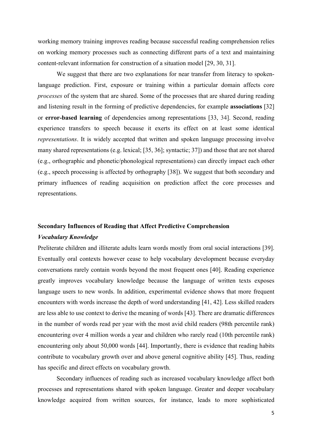working memory training improves reading because successful reading comprehension relies on working memory processes such as connecting different parts of a text and maintaining content-relevant information for construction of a situation model [29, 30, 31].

We suggest that there are two explanations for near transfer from literacy to spokenlanguage prediction. First, exposure or training within a particular domain affects core *processes* of the system that are shared. Some of the processes that are shared during reading and listening result in the forming of predictive dependencies, for example **associations** [32] or **error-based learning** of dependencies among representations [33, 34]. Second, reading experience transfers to speech because it exerts its effect on at least some identical *representations*. It is widely accepted that written and spoken language processing involve many shared representations (e.g. lexical; [35, 36]; syntactic; 37]) and those that are not shared (e.g., orthographic and phonetic/phonological representations) can directly impact each other (e.g., speech processing is affected by orthography [38]). We suggest that both secondary and primary influences of reading acquisition on prediction affect the core processes and representations.

#### **Secondary Influences of Reading that Affect Predictive Comprehension**

#### *Vocabulary Knowledge*

Preliterate children and illiterate adults learn words mostly from oral social interactions [39]. Eventually oral contexts however cease to help vocabulary development because everyday conversations rarely contain words beyond the most frequent ones [40]. Reading experience greatly improves vocabulary knowledge because the language of written texts exposes language users to new words. In addition, experimental evidence shows that more frequent encounters with words increase the depth of word understanding [41, 42]. Less skilled readers are less able to use context to derive the meaning of words [43]. There are dramatic differences in the number of words read per year with the most avid child readers (98th percentile rank) encountering over 4 million words a year and children who rarely read (10th percentile rank) encountering only about 50,000 words [44]. Importantly, there is evidence that reading habits contribute to vocabulary growth over and above general cognitive ability [45]. Thus, reading has specific and direct effects on vocabulary growth.

Secondary influences of reading such as increased vocabulary knowledge affect both processes and representations shared with spoken language. Greater and deeper vocabulary knowledge acquired from written sources, for instance, leads to more sophisticated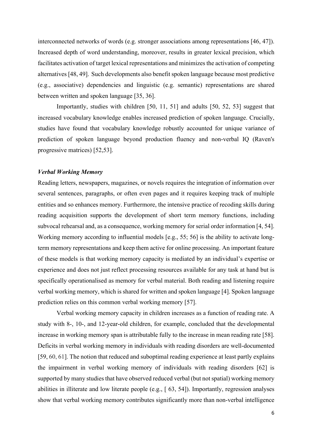interconnected networks of words (e.g. stronger associations among representations [46, 47]). Increased depth of word understanding, moreover, results in greater lexical precision, which facilitates activation of target lexical representations and minimizes the activation of competing alternatives [48, 49]. Such developments also benefit spoken language because most predictive (e.g., associative) dependencies and linguistic (e.g. semantic) representations are shared between written and spoken language [35, 36].

Importantly, studies with children [50, 11, 51] and adults [50, 52, 53] suggest that increased vocabulary knowledge enables increased prediction of spoken language. Crucially, studies have found that vocabulary knowledge robustly accounted for unique variance of prediction of spoken language beyond production fluency and non-verbal IQ (Raven's progressive matrices) [52,53].

## *Verbal Working Memory*

Reading letters, newspapers, magazines, or novels requires the integration of information over several sentences, paragraphs, or often even pages and it requires keeping track of multiple entities and so enhances memory. Furthermore, the intensive practice of recoding skills during reading acquisition supports the development of short term memory functions, including subvocal rehearsal and, as a consequence, working memory for serial order information [4, 54]. Working memory according to influential models [e.g., 55; 56] is the ability to activate longterm memory representations and keep them active for online processing. An important feature of these models is that working memory capacity is mediated by an individual's expertise or experience and does not just reflect processing resources available for any task at hand but is specifically operationalised as memory for verbal material. Both reading and listening require verbal working memory, which is shared for written and spoken language [4]. Spoken language prediction relies on this common verbal working memory [57].

Verbal working memory capacity in children increases as a function of reading rate. A study with 8-, 10-, and 12-year-old children, for example, concluded that the developmental increase in working memory span is attributable fully to the increase in mean reading rate [58]. Deficits in verbal working memory in individuals with reading disorders are well-documented [59, 60, 61]. The notion that reduced and suboptimal reading experience at least partly explains the impairment in verbal working memory of individuals with reading disorders [62] is supported by many studies that have observed reduced verbal (but not spatial) working memory abilities in illiterate and low literate people (e.g., [ 63, 54]). Importantly, regression analyses show that verbal working memory contributes significantly more than non-verbal intelligence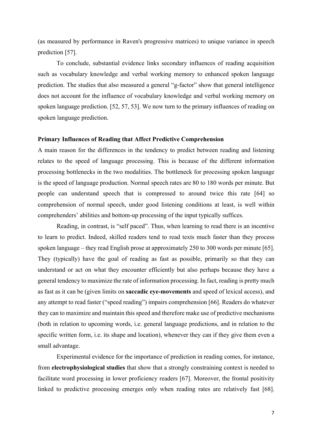(as measured by performance in Raven's progressive matrices) to unique variance in speech prediction [57].

To conclude, substantial evidence links secondary influences of reading acquisition such as vocabulary knowledge and verbal working memory to enhanced spoken language prediction. The studies that also measured a general "g-factor" show that general intelligence does not account for the influence of vocabulary knowledge and verbal working memory on spoken language prediction. [52, 57, 53]. We now turn to the primary influences of reading on spoken language prediction.

#### **Primary Influences of Reading that Affect Predictive Comprehension**

A main reason for the differences in the tendency to predict between reading and listening relates to the speed of language processing. This is because of the different information processing bottlenecks in the two modalities. The bottleneck for processing spoken language is the speed of language production. Normal speech rates are 80 to 180 words per minute. But people can understand speech that is compressed to around twice this rate [64] so comprehension of normal speech, under good listening conditions at least, is well within comprehenders' abilities and bottom-up processing of the input typically suffices.

Reading, in contrast, is "self paced". Thus, when learning to read there is an incentive to learn to predict. Indeed, skilled readers tend to read texts much faster than they process spoken language – they read English prose at approximately 250 to 300 words per minute [65]. They (typically) have the goal of reading as fast as possible, primarily so that they can understand or act on what they encounter efficiently but also perhaps because they have a general tendency to maximize the rate of information processing. In fact, reading is pretty much as fast as it can be (given limits on **saccadic eye-movements** and speed of lexical access), and any attempt to read faster ("speed reading") impairs comprehension [66]. Readers do whatever they can to maximize and maintain this speed and therefore make use of predictive mechanisms (both in relation to upcoming words, i.e. general language predictions, and in relation to the specific written form, i.e. its shape and location), whenever they can if they give them even a small advantage.

Experimental evidence for the importance of prediction in reading comes, for instance, from **electrophysiological studies** that show that a strongly constraining context is needed to facilitate word processing in lower proficiency readers [67]. Moreover, the frontal positivity linked to predictive processing emerges only when reading rates are relatively fast [68].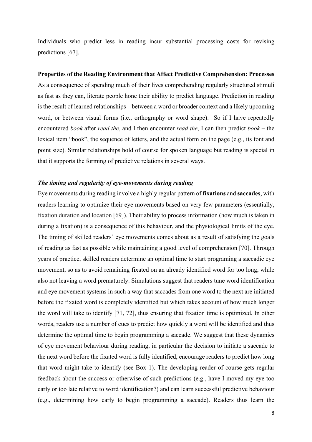Individuals who predict less in reading incur substantial processing costs for revising predictions [67].

#### **Properties of the Reading Environment that Affect Predictive Comprehension: Processes**

As a consequence of spending much of their lives comprehending regularly structured stimuli as fast as they can, literate people hone their ability to predict language. Prediction in reading is the result of learned relationships – between a word or broader context and a likely upcoming word, or between visual forms (i.e., orthography or word shape). So if I have repeatedly encountered *book* after *read the*, and I then encounter *read the*, I can then predict *book* – the lexical item "book", the sequence of letters, and the actual form on the page (e.g., its font and point size). Similar relationships hold of course for spoken language but reading is special in that it supports the forming of predictive relations in several ways.

#### *The timing and regularity of eye-movements during reading*

Eye movements during reading involve a highly regular pattern of **fixations** and **saccades**, with readers learning to optimize their eye movements based on very few parameters (essentially, fixation duration and location [69]). Their ability to process information (how much is taken in during a fixation) is a consequence of this behaviour, and the physiological limits of the eye. The timing of skilled readers' eye movements comes about as a result of satisfying the goals of reading as fast as possible while maintaining a good level of comprehension [70]. Through years of practice, skilled readers determine an optimal time to start programing a saccadic eye movement, so as to avoid remaining fixated on an already identified word for too long, while also not leaving a word prematurely. Simulations suggest that readers tune word identification and eye movement systems in such a way that saccades from one word to the next are initiated before the fixated word is completely identified but which takes account of how much longer the word will take to identify [71, 72], thus ensuring that fixation time is optimized. In other words, readers use a number of cues to predict how quickly a word will be identified and thus determine the optimal time to begin programming a saccade. We suggest that these dynamics of eye movement behaviour during reading, in particular the decision to initiate a saccade to the next word before the fixated word is fully identified, encourage readers to predict how long that word might take to identify (see Box 1). The developing reader of course gets regular feedback about the success or otherwise of such predictions (e.g., have I moved my eye too early or too late relative to word identification?) and can learn successful predictive behaviour (e.g., determining how early to begin programming a saccade). Readers thus learn the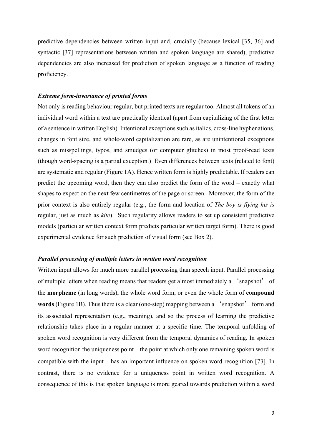predictive dependencies between written input and, crucially (because lexical [35, 36] and syntactic [37] representations between written and spoken language are shared), predictive dependencies are also increased for prediction of spoken language as a function of reading proficiency.

## *Extreme form-invariance of printed forms*

Not only is reading behaviour regular, but printed texts are regular too. Almost all tokens of an individual word within a text are practically identical (apart from capitalizing of the first letter of a sentence in written English). Intentional exceptions such as italics, cross-line hyphenations, changes in font size, and whole-word capitalization are rare, as are unintentional exceptions such as misspellings, typos, and smudges (or computer glitches) in most proof-read texts (though word-spacing is a partial exception.) Even differences between texts (related to font) are systematic and regular (Figure 1A). Hence written form is highly predictable. If readers can predict the upcoming word, then they can also predict the form of the word – exactly what shapes to expect on the next few centimetres of the page or screen. Moreover, the form of the prior context is also entirely regular (e.g., the form and location of *The boy is flying his is* regular, just as much as *kite*). Such regularity allows readers to set up consistent predictive models (particular written context form predicts particular written target form). There is good experimental evidence for such prediction of visual form (see Box 2).

#### *Parallel processing of multiple letters in written word recognition*

Written input allows for much more parallel processing than speech input. Parallel processing of multiple letters when reading means that readers get almost immediately a 'snapshot' of the **morpheme** (in long words), the whole word form, or even the whole form of **compound words** (Figure 1B). Thus there is a clear (one-step) mapping between a 'snapshot' form and its associated representation (e.g., meaning), and so the process of learning the predictive relationship takes place in a regular manner at a specific time. The temporal unfolding of spoken word recognition is very different from the temporal dynamics of reading. In spoken word recognition the uniqueness point – the point at which only one remaining spoken word is compatible with the input – has an important influence on spoken word recognition [73]. In contrast, there is no evidence for a uniqueness point in written word recognition. A consequence of this is that spoken language is more geared towards prediction within a word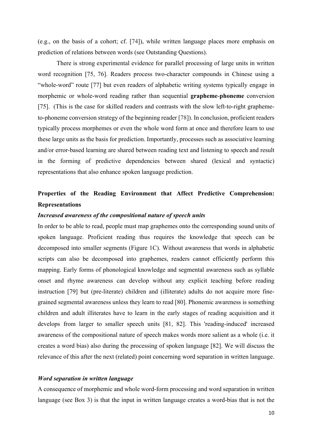(e.g., on the basis of a cohort; cf. [74]), while written language places more emphasis on prediction of relations between words (see Outstanding Questions).

There is strong experimental evidence for parallel processing of large units in written word recognition [75, 76]. Readers process two-character compounds in Chinese using a "whole-word" route [77] but even readers of alphabetic writing systems typically engage in morphemic or whole-word reading rather than sequential **grapheme**-**phoneme** conversion [75]. (This is the case for skilled readers and contrasts with the slow left-to-right graphemeto-phoneme conversion strategy of the beginning reader [78]). In conclusion, proficient readers typically process morphemes or even the whole word form at once and therefore learn to use these large units as the basis for prediction. Importantly, processes such as associative learning and/or error-based learning are shared between reading text and listening to speech and result in the forming of predictive dependencies between shared (lexical and syntactic) representations that also enhance spoken language prediction.

# **Properties of the Reading Environment that Affect Predictive Comprehension: Representations**

#### *Increased awareness of the compositional nature of speech units*

In order to be able to read, people must map graphemes onto the corresponding sound units of spoken language. Proficient reading thus requires the knowledge that speech can be decomposed into smaller segments (Figure 1C). Without awareness that words in alphabetic scripts can also be decomposed into graphemes, readers cannot efficiently perform this mapping. Early forms of phonological knowledge and segmental awareness such as syllable onset and rhyme awareness can develop without any explicit teaching before reading instruction [79] but (pre-literate) children and (illiterate) adults do not acquire more finegrained segmental awareness unless they learn to read [80]. Phonemic awareness is something children and adult illiterates have to learn in the early stages of reading acquisition and it develops from larger to smaller speech units [81, 82]. This 'reading-induced' increased awareness of the compositional nature of speech makes words more salient as a whole (i.e. it creates a word bias) also during the processing of spoken language [82]. We will discuss the relevance of this after the next (related) point concerning word separation in written language.

## *Word separation in written language*

A consequence of morphemic and whole word-form processing and word separation in written language (see Box 3) is that the input in written language creates a word-bias that is not the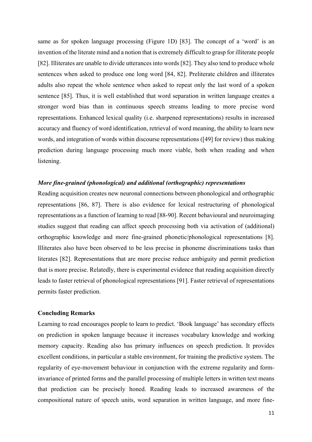same as for spoken language processing (Figure 1D) [83]. The concept of a 'word' is an invention of the literate mind and a notion that is extremely difficult to grasp for illiterate people [82]. Illiterates are unable to divide utterances into words [82]. They also tend to produce whole sentences when asked to produce one long word [84, 82]. Preliterate children and illiterates adults also repeat the whole sentence when asked to repeat only the last word of a spoken sentence [85]. Thus, it is well established that word separation in written language creates a stronger word bias than in continuous speech streams leading to more precise word representations. Enhanced lexical quality (i.e. sharpened representations) results in increased accuracy and fluency of word identification, retrieval of word meaning, the ability to learn new words, and integration of words within discourse representations ([49] for review) thus making prediction during language processing much more viable, both when reading and when listening.

## *More fine-grained (phonological) and additional (orthographic) representations*

Reading acquisition creates new neuronal connections between phonological and orthographic representations [86, 87]. There is also evidence for lexical restructuring of phonological representations as a function of learning to read [88-90]. Recent behavioural and neuroimaging studies suggest that reading can affect speech processing both via activation of (additional) orthographic knowledge and more fine-grained phonetic/phonological representations [8]. Illiterates also have been observed to be less precise in phoneme discriminations tasks than literates [82]. Representations that are more precise reduce ambiguity and permit prediction that is more precise. Relatedly, there is experimental evidence that reading acquisition directly leads to faster retrieval of phonological representations [91]. Faster retrieval of representations permits faster prediction.

## **Concluding Remarks**

Learning to read encourages people to learn to predict. 'Book language' has secondary effects on prediction in spoken language because it increases vocabulary knowledge and working memory capacity. Reading also has primary influences on speech prediction. It provides excellent conditions, in particular a stable environment, for training the predictive system. The regularity of eye-movement behaviour in conjunction with the extreme regularity and forminvariance of printed forms and the parallel processing of multiple letters in written text means that prediction can be precisely honed. Reading leads to increased awareness of the compositional nature of speech units, word separation in written language, and more fine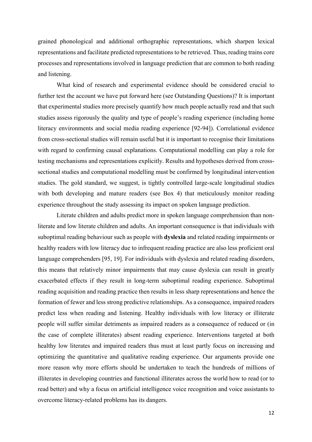grained phonological and additional orthographic representations, which sharpen lexical representations and facilitate predicted representations to be retrieved. Thus, reading trains core processes and representations involved in language prediction that are common to both reading and listening.

What kind of research and experimental evidence should be considered crucial to further test the account we have put forward here (see Outstanding Questions)? It is important that experimental studies more precisely quantify how much people actually read and that such studies assess rigorously the quality and type of people's reading experience (including home literacy environments and social media reading experience [92-94]). Correlational evidence from cross-sectional studies will remain useful but it is important to recognise their limitations with regard to confirming causal explanations. Computational modelling can play a role for testing mechanisms and representations explicitly. Results and hypotheses derived from crosssectional studies and computational modelling must be confirmed by longitudinal intervention studies. The gold standard, we suggest, is tightly controlled large-scale longitudinal studies with both developing and mature readers (see Box 4) that meticulously monitor reading experience throughout the study assessing its impact on spoken language prediction.

Literate children and adults predict more in spoken language comprehension than nonliterate and low literate children and adults. An important consequence is that individuals with suboptimal reading behaviour such as people with **dyslexia** and related reading impairments or healthy readers with low literacy due to infrequent reading practice are also less proficient oral language comprehenders [95, 19]. For individuals with dyslexia and related reading disorders, this means that relatively minor impairments that may cause dyslexia can result in greatly exacerbated effects if they result in long-term suboptimal reading experience. Suboptimal reading acquisition and reading practice then results in less sharp representations and hence the formation of fewer and less strong predictive relationships. As a consequence, impaired readers predict less when reading and listening. Healthy individuals with low literacy or illiterate people will suffer similar detriments as impaired readers as a consequence of reduced or (in the case of complete illiterates) absent reading experience. Interventions targeted at both healthy low literates and impaired readers thus must at least partly focus on increasing and optimizing the quantitative and qualitative reading experience. Our arguments provide one more reason why more efforts should be undertaken to teach the hundreds of millions of illiterates in developing countries and functional illiterates across the world how to read (or to read better) and why a focus on artificial intelligence voice recognition and voice assistants to overcome literacy-related problems has its dangers.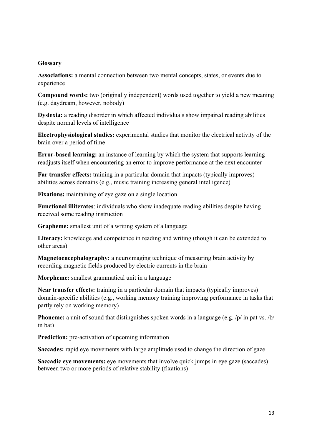# **Glossary**

**Associations:** a mental connection between two mental concepts, states, or events due to experience

**Compound words:** two (originally independent) words used together to yield a new meaning (e.g. daydream, however, nobody)

**Dyslexia:** a reading disorder in which affected individuals show impaired reading abilities despite normal levels of intelligence

**Electrophysiological studies:** experimental studies that monitor the electrical activity of the brain over a period of time

**Error-based learning:** an instance of learning by which the system that supports learning readjusts itself when encountering an error to improve performance at the next encounter

**Far transfer effects:** training in a particular domain that impacts (typically improves) abilities across domains (e.g., music training increasing general intelligence)

**Fixations:** maintaining of eye gaze on a single location

**Functional illiterates**: individuals who show inadequate reading abilities despite having received some reading instruction

**Grapheme:** smallest unit of a writing system of a language

Literacy: knowledge and competence in reading and writing (though it can be extended to other areas)

**Magnetoencephalography:** a neuroimaging technique of measuring brain activity by recording magnetic fields produced by electric currents in the brain

**Morpheme:** smallest grammatical unit in a language

**Near transfer effects:** training in a particular domain that impacts (typically improves) domain-specific abilities (e.g., working memory training improving performance in tasks that partly rely on working memory)

**Phoneme:** a unit of sound that distinguishes spoken words in a language (e.g. /p/ in pat vs. /b/ in bat)

**Prediction:** pre-activation of upcoming information

**Saccades:** rapid eye movements with large amplitude used to change the direction of gaze

**Saccadic eye movements:** eye movements that involve quick jumps in eye gaze (saccades) between two or more periods of relative stability (fixations)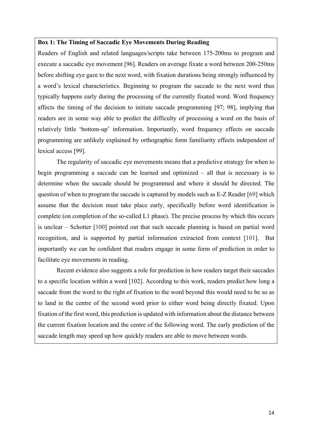#### **Box 1: The Timing of Saccadic Eye Movements During Reading**

Readers of English and related languages/scripts take between 175-200ms to program and execute a saccadic eye movement [96]. Readers on average fixate a word between 200-250ms before shifting eye gaze to the next word, with fixation durations being strongly influenced by a word's lexical characteristics. Beginning to program the saccade to the next word thus typically happens early during the processing of the currently fixated word. Word frequency affects the timing of the decision to initiate saccade programming [97; 98], implying that readers are in some way able to predict the difficulty of processing a word on the basis of relatively little 'bottom-up' information. Importantly, word frequency effects on saccade programming are unlikely explained by orthographic form familiarity effects independent of lexical access [99].

The regularity of saccadic eye movements means that a predictive strategy for when to begin programming a saccade can be learned and optimized – all that is necessary is to determine when the saccade should be programmed and where it should be directed. The question of when to program the saccade is captured by models such as E-Z Reader [69] which assume that the decision must take place early, specifically before word identification is complete (on completion of the so-called L1 phase). The precise process by which this occurs is unclear – Schotter [100] pointed out that such saccade planning is based on partial word recognition, and is supported by partial information extracted from context [101]. But importantly we can be confident that readers engage in some form of prediction in order to facilitate eye movements in reading.

Recent evidence also suggests a role for prediction in how readers target their saccades to a specific location within a word [102]. According to this work, readers predict how long a saccade from the word to the right of fixation to the word beyond this would need to be so as to land in the centre of the second word prior to either word being directly fixated. Upon fixation of the first word, this prediction is updated with information about the distance between the current fixation location and the centre of the following word. The early prediction of the saccade length may speed up how quickly readers are able to move between words.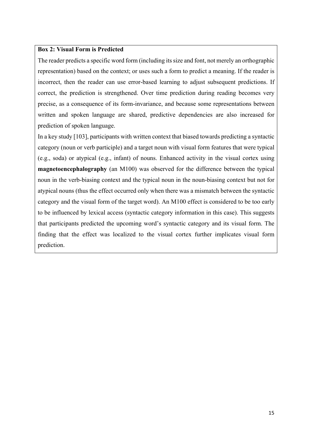# **Box 2: Visual Form is Predicted**

The reader predicts a specific word form (including its size and font, not merely an orthographic representation) based on the context; or uses such a form to predict a meaning. If the reader is incorrect, then the reader can use error-based learning to adjust subsequent predictions. If correct, the prediction is strengthened. Over time prediction during reading becomes very precise, as a consequence of its form-invariance, and because some representations between written and spoken language are shared, predictive dependencies are also increased for prediction of spoken language.

In a key study [103], participants with written context that biased towards predicting a syntactic category (noun or verb participle) and a target noun with visual form features that were typical (e.g., soda) or atypical (e.g., infant) of nouns. Enhanced activity in the visual cortex using **magnetoencephalography** (an M100) was observed for the difference between the typical noun in the verb-biasing context and the typical noun in the noun-biasing context but not for atypical nouns (thus the effect occurred only when there was a mismatch between the syntactic category and the visual form of the target word). An M100 effect is considered to be too early to be influenced by lexical access (syntactic category information in this case). This suggests that participants predicted the upcoming word's syntactic category and its visual form. The finding that the effect was localized to the visual cortex further implicates visual form prediction.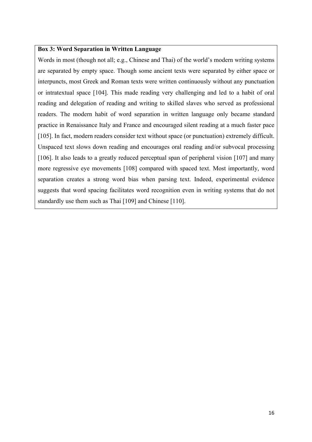## **Box 3: Word Separation in Written Language**

Words in most (though not all; e.g., Chinese and Thai) of the world's modern writing systems are separated by empty space. Though some ancient texts were separated by either space or interpuncts, most Greek and Roman texts were written continuously without any punctuation or intratextual space [104]. This made reading very challenging and led to a habit of oral reading and delegation of reading and writing to skilled slaves who served as professional readers. The modern habit of word separation in written language only became standard practice in Renaissance Italy and France and encouraged silent reading at a much faster pace [105]. In fact, modern readers consider text without space (or punctuation) extremely difficult. Unspaced text slows down reading and encourages oral reading and/or subvocal processing [106]. It also leads to a greatly reduced perceptual span of peripheral vision [107] and many more regressive eye movements [108] compared with spaced text. Most importantly, word separation creates a strong word bias when parsing text. Indeed, experimental evidence suggests that word spacing facilitates word recognition even in writing systems that do not standardly use them such as Thai [109] and Chinese [110].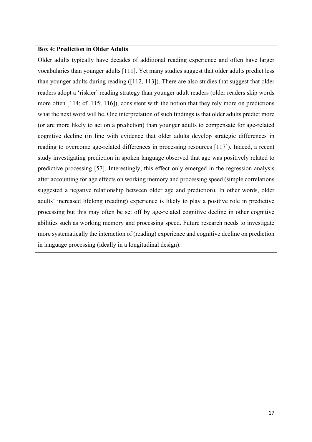## **Box 4: Prediction in Older Adults**

Older adults typically have decades of additional reading experience and often have larger vocabularies than younger adults [111]. Yet many studies suggest that older adults predict less than younger adults during reading ([112, 113]). There are also studies that suggest that older readers adopt a 'riskier' reading strategy than younger adult readers (older readers skip words more often [114; cf. 115; 116]), consistent with the notion that they rely more on predictions what the next word will be. One interpretation of such findings is that older adults predict more (or are more likely to act on a prediction) than younger adults to compensate for age-related cognitive decline (in line with evidence that older adults develop strategic differences in reading to overcome age-related differences in processing resources [117]). Indeed, a recent study investigating prediction in spoken language observed that age was positively related to predictive processing [57]. Interestingly, this effect only emerged in the regression analysis after accounting for age effects on working memory and processing speed (simple correlations suggested a negative relationship between older age and prediction). In other words, older adults' increased lifelong (reading) experience is likely to play a positive role in predictive processing but this may often be set off by age-related cognitive decline in other cognitive abilities such as working memory and processing speed. Future research needs to investigate more systematically the interaction of (reading) experience and cognitive decline on prediction in language processing (ideally in a longitudinal design).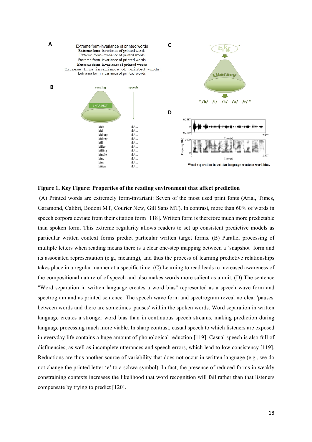

#### **Figure 1, Key Figure: Properties of the reading environment that affect prediction**

(A) Printed words are extremely form-invariant: Seven of the most used print fonts (Arial, Times, Garamond, Calibri, Bodoni MT, Courier New, Gill Sans MT). In contrast, more than 60% of words in speech corpora deviate from their citation form [118]. Written form is therefore much more predictable than spoken form. This extreme regularity allows readers to set up consistent predictive models as particular written context forms predict particular written target forms. (B) Parallel processing of multiple letters when reading means there is a clear one-step mapping between a 'snapshot' form and its associated representation (e.g., meaning), and thus the process of learning predictive relationships takes place in a regular manner at a specific time. (C) Learning to read leads to increased awareness of the compositional nature of of speech and also makes words more salient as a unit. (D) The sentence "Word separation in written language creates a word bias" represented as a speech wave form and spectrogram and as printed sentence. The speech wave form and spectrogram reveal no clear 'pauses' between words and there are sometimes 'pauses' within the spoken words. Word separation in written language creates a stronger word bias than in continuous speech streams, making prediction during language processing much more viable. In sharp contrast, casual speech to which listeners are exposed in everyday life contains a huge amount of phonological reduction [119]. Casual speech is also full of disfluencies, as well as incomplete utterances and speech errors, which lead to low consistency [119]. Reductions are thus another source of variability that does not occur in written language (e.g., we do not change the printed letter 'e' to a schwa symbol). In fact, the presence of reduced forms in weakly constraining contexts increases the likelihood that word recognition will fail rather than that listeners compensate by trying to predict [120].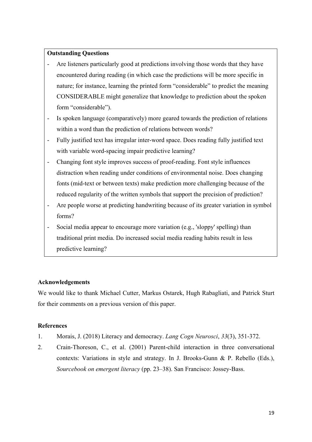# **Outstanding Questions**

- Are listeners particularly good at predictions involving those words that they have encountered during reading (in which case the predictions will be more specific in nature; for instance, learning the printed form "considerable" to predict the meaning CONSIDERABLE might generalize that knowledge to prediction about the spoken form "considerable").
- Is spoken language (comparatively) more geared towards the prediction of relations within a word than the prediction of relations between words?
- Fully justified text has irregular inter-word space. Does reading fully justified text with variable word-spacing impair predictive learning?
- Changing font style improves success of proof-reading. Font style influences distraction when reading under conditions of environmental noise. Does changing fonts (mid-text or between texts) make prediction more challenging because of the reduced regularity of the written symbols that support the precision of prediction?
- Are people worse at predicting handwriting because of its greater variation in symbol forms?
- Social media appear to encourage more variation (e.g., 'sloppy' spelling) than traditional print media. Do increased social media reading habits result in less predictive learning?

# **Acknowledgements**

We would like to thank Michael Cutter, Markus Ostarek, Hugh Rabagliati, and Patrick Sturt for their comments on a previous version of this paper.

## **References**

- 1. Morais, J. (2018) Literacy and democracy. *Lang Cogn Neurosci*, *33*(3), 351-372.
- 2. Crain-Thoreson, C., et al. (2001) Parent-child interaction in three conversational contexts: Variations in style and strategy. In J. Brooks-Gunn & P. Rebello (Eds.), *Sourcebook on emergent literacy* (pp. 23–38). San Francisco: Jossey-Bass.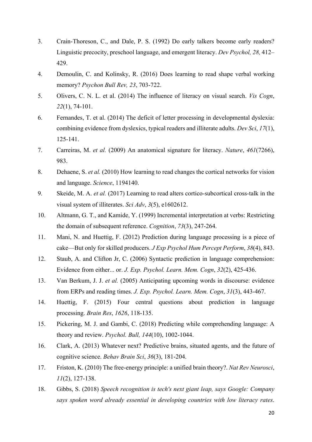- 3. Crain-Thoreson, C., and Dale, P. S. (1992) Do early talkers become early readers? Linguistic precocity, preschool language, and emergent literacy. *Dev Psychol, 28,* 412– 429.
- 4. Demoulin, C. and Kolinsky, R. (2016) Does learning to read shape verbal working memory? *Psychon Bull Rev, 23*, 703-722.
- 5. Olivers, C. N. L. et al. (2014) The influence of literacy on visual search. *Vis Cogn*, *22*(1), 74-101.
- 6. Fernandes, T. et al. (2014) The deficit of letter processing in developmental dyslexia: combining evidence from dyslexics, typical readers and illiterate adults. *Dev Sci*, *17*(1), 125-141.
- 7. Carreiras, M. *et al.* (2009) An anatomical signature for literacy. *Nature*, *461*(7266), 983.
- 8. Dehaene, S. *et al.* (2010) How learning to read changes the cortical networks for vision and language. *Science*, 1194140.
- 9. Skeide, M. A. *et al.* (2017) Learning to read alters cortico-subcortical cross-talk in the visual system of illiterates. *Sci Adv*, *3*(5), e1602612.
- 10. Altmann, G. T., and Kamide, Y. (1999) Incremental interpretation at verbs: Restricting the domain of subsequent reference. *Cognition*, *73*(3), 247-264.
- 11. Mani, N. and Huettig, F. (2012) Prediction during language processing is a piece of cake—But only for skilled producers. *J Exp Psychol Hum Percept Perform*, *38*(4), 843.
- 12. Staub, A. and Clifton Jr, C. (2006) Syntactic prediction in language comprehension: Evidence from either... or. *J. Exp. Psychol. Learn. Mem. Cogn*, *32*(2), 425-436.
- 13. Van Berkum, J. J. *et al.* (2005) Anticipating upcoming words in discourse: evidence from ERPs and reading times. *J. Exp. Psychol. Learn. Mem. Cogn*, *31*(3), 443-467.
- 14. Huettig, F. (2015) Four central questions about prediction in language processing. *Brain Res*, *1626*, 118-135.
- 15. Pickering, M. J. and Gambi, C. (2018) Predicting while comprehending language: A theory and review. *Psychol. Bull, 144*(10), 1002-1044.
- 16. Clark, A. (2013) Whatever next? Predictive brains, situated agents, and the future of cognitive science. *Behav Brain Sci*, *36*(3), 181-204.
- 17. Friston, K. (2010) The free-energy principle: a unified brain theory?. *Nat Rev Neurosci*, *11*(2), 127-138.
- 18. Gibbs, S. (2018) *Speech recognition is tech's next giant leap, says Google: Company says spoken word already essential in developing countries with low literacy rates*.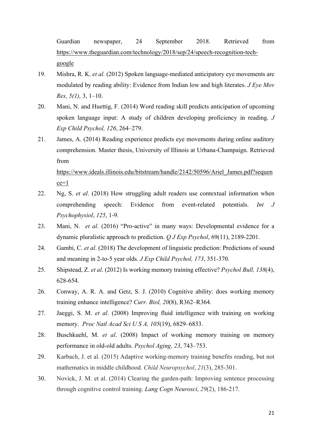Guardian newspaper, 24 September 2018. Retrieved from https://www.theguardian.com/technology/2018/sep/24/speech-recognition-techgoogle

- 19. Mishra, R. K. *et al.* (2012) Spoken language-mediated anticipatory eye movements are modulated by reading ability: Evidence from Indian low and high literates. *J Eye Mov Res, 5(1),* 3, 1–10.
- 20. Mani, N. and Huettig, F. (2014) Word reading skill predicts anticipation of upcoming spoken language input: A study of children developing proficiency in reading. *J Exp Child Psychol, 126*, 264–279.
- 21. James, A. (2014) Reading experience predicts eye movements during online auditory comprehension. Master thesis, University of Illinois at Urbana-Champaign. Retrieved from

https://www.ideals.illinois.edu/bitstream/handle/2142/50596/Ariel\_James.pdf?sequen  $ce=1$ 

- 22. Ng, S. *et al*. (2018) How struggling adult readers use contextual information when comprehending speech: Evidence from event-related potentials. *Int J Psychophysiol*, *125*, 1-9.
- 23. Mani, N. *et al*. (2016) "Pro-active" in many ways: Developmental evidence for a dynamic pluralistic approach to prediction. *Q J Exp Psychol*, 69(11), 2189-2201.
- 24. Gambi, C. *et al*. (2018) The development of linguistic prediction: Predictions of sound and meaning in 2-to-5 year olds. *J Exp Child Psychol, 173*, 351-370.
- 25. Shipstead, Z. *et al*. (2012) Is working memory training effective? *Psychol Bull, 138*(4), 628-654.
- 26. Conway, A. R. A. and Getz, S. J. (2010) Cognitive ability: does working memory training enhance intelligence? *Curr. Biol, 20*(8), R362–R364.
- 27. Jaeggi, S. M. *et al*. (2008) Improving fluid intelligence with training on working memory. *Proc Natl Acad Sci U S A, 105*(19), 6829–6833.
- 28. Buschkuehl, M. *et al*. (2008) Impact of working memory training on memory performance in old-old adults. *Psychol Aging, 23*, 743–753.
- 29. Karbach, J. et al. (2015) Adaptive working-memory training benefits reading, but not mathematics in middle childhood. *Child Neuropsychol*, *21*(3), 285-301.
- 30. Novick, J. M. et al. (2014) Clearing the garden-path: Improving sentence processing through cognitive control training. *Lang Cogn Neurosci*, *29*(2), 186-217.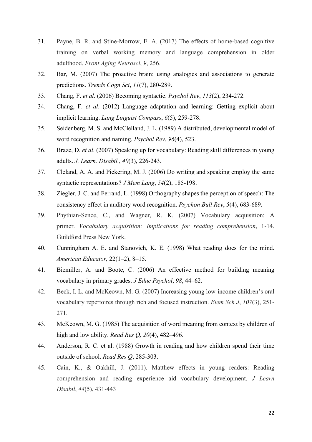- 31. Payne, B. R. and Stine-Morrow, E. A. (2017) The effects of home-based cognitive training on verbal working memory and language comprehension in older adulthood. *Front Aging Neurosci*, *9*, 256.
- 32. Bar, M. (2007) The proactive brain: using analogies and associations to generate predictions. *Trends Cogn Sci*, *11*(7), 280-289.
- 33. Chang, F. *et al*. (2006) Becoming syntactic. *Psychol Rev*, *113*(2), 234-272.
- 34. Chang, F. *et al*. (2012) Language adaptation and learning: Getting explicit about implicit learning. *Lang Linguist Compass*, *6*(5), 259-278.
- 35. Seidenberg, M. S. and McClelland, J. L. (1989) A distributed, developmental model of word recognition and naming. *Psychol Rev*, *96*(4), 523.
- 36. Braze, D. *et al*. (2007) Speaking up for vocabulary: Reading skill differences in young adults. *J. Learn. Disabil.*, *40*(3), 226-243.
- 37. Cleland, A. A. and Pickering, M. J. (2006) Do writing and speaking employ the same syntactic representations? *J Mem Lang*, *54*(2), 185-198.
- 38. Ziegler, J. C. and Ferrand, L. (1998) Orthography shapes the perception of speech: The consistency effect in auditory word recognition. *Psychon Bull Rev*, *5*(4), 683-689.
- 39. Phythian-Sence, C., and Wagner, R. K. (2007) Vocabulary acquisition: A primer. *Vocabulary acquisition: Implications for reading comprehension*, 1-14. Guildford Press New York.
- 40. Cunningham A. E. and Stanovich, K. E. (1998) What reading does for the mind. *American Educator,* 22(1–2), 8–15.
- 41. Biemiller, A. and Boote, C. (2006) An effective method for building meaning vocabulary in primary grades. *J Educ Psychol*, *98*, 44–62.
- 42. Beck, I. L. and McKeown, M. G. (2007) Increasing young low-income children's oral vocabulary repertoires through rich and focused instruction. *Elem Sch J*, *107*(3), 251- 271.
- 43. McKeown, M. G. (1985) The acquisition of word meaning from context by children of high and low ability. *Read Res Q, 20*(4), 482–496.
- 44. Anderson, R. C. et al. (1988) Growth in reading and how children spend their time outside of school. *Read Res Q*, 285-303.
- 45. Cain, K., & Oakhill, J. (2011). Matthew effects in young readers: Reading comprehension and reading experience aid vocabulary development. *J Learn Disabil*, *44*(5), 431-443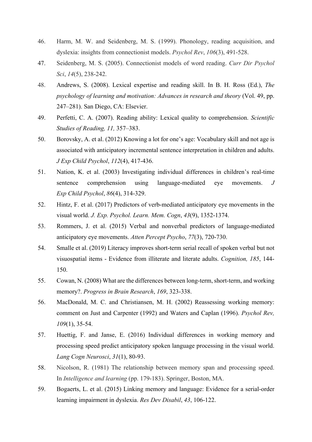- 46. Harm, M. W. and Seidenberg, M. S. (1999). Phonology, reading acquisition, and dyslexia: insights from connectionist models. *Psychol Rev*, *106*(3), 491-528.
- 47. Seidenberg, M. S. (2005). Connectionist models of word reading. *Curr Dir Psychol Sci*, *14*(5), 238-242.
- 48. Andrews, S. (2008). Lexical expertise and reading skill. In B. H. Ross (Ed.), *The psychology of learning and motivation: Advances in research and theory* (Vol. 49, pp. 247–281). San Diego, CA: Elsevier.
- 49. Perfetti, C. A. (2007). Reading ability: Lexical quality to comprehension. *Scientific Studies of Reading, 11,* 357–383.
- 50. Borovsky, A. et al. (2012) Knowing a lot for one's age: Vocabulary skill and not age is associated with anticipatory incremental sentence interpretation in children and adults. *J Exp Child Psychol*, *112*(4), 417-436.
- 51. Nation, K. et al. (2003) Investigating individual differences in children's real-time sentence comprehension using language-mediated eye movements. *J Exp Child Psychol*, *86*(4), 314-329.
- 52. Hintz, F. et al. (2017) Predictors of verb-mediated anticipatory eye movements in the visual world. *J. Exp. Psychol. Learn. Mem. Cogn*, *43*(9), 1352-1374.
- 53. Rommers, J. et al. (2015) Verbal and nonverbal predictors of language-mediated anticipatory eye movements. *Atten Percept Psycho*, *77*(3), 720-730.
- 54. Smalle et al. (2019) Literacy improves short-term serial recall of spoken verbal but not visuospatial items - Evidence from illiterate and literate adults. *Cognition, 185*, 144- 150.
- 55. Cowan, N. (2008) What are the differences between long-term, short-term, and working memory?. *Progress in Brain Research*, *169*, 323-338.
- 56. MacDonald, M. C. and Christiansen, M. H. (2002) Reassessing working memory: comment on Just and Carpenter (1992) and Waters and Caplan (1996). *Psychol Rev, 109*(1), 35-54.
- 57. Huettig, F. and Janse, E. (2016) Individual differences in working memory and processing speed predict anticipatory spoken language processing in the visual world. *Lang Cogn Neurosci*, *31*(1), 80-93.
- 58. Nicolson, R. (1981) The relationship between memory span and processing speed. In *Intelligence and learning* (pp. 179-183). Springer, Boston, MA.
- 59. Bogaerts, L. et al. (2015) Linking memory and language: Evidence for a serial-order learning impairment in dyslexia. *Res Dev Disabil*, *43*, 106-122.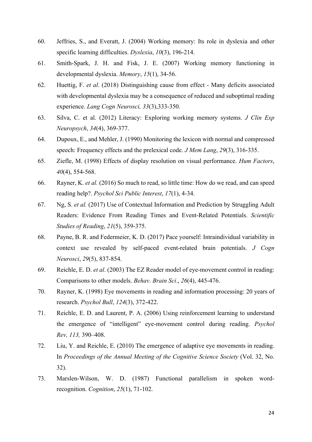- 60. Jeffries, S., and Everatt, J. (2004) Working memory: Its role in dyslexia and other specific learning difficulties. *Dyslexia*, *10*(3), 196-214.
- 61. Smith-Spark, J. H. and Fisk, J. E. (2007) Working memory functioning in developmental dyslexia. *Memory*, *15*(1), 34-56.
- 62. Huettig, F. *et al*. (2018) Distinguishing cause from effect Many deficits associated with developmental dyslexia may be a consequence of reduced and suboptimal reading experience. *Lang Cogn Neurosci, 33*(3),333-350.
- 63. Silva, C. et al. (2012) Literacy: Exploring working memory systems. *J Clin Exp Neuropsych*, *34*(4), 369-377.
- 64. Dupoux, E., and Mehler, J. (1990) Monitoring the lexicon with normal and compressed speech: Frequency effects and the prelexical code. *J Mem Lang*, *29*(3), 316-335.
- 65. Ziefle, M. (1998) Effects of display resolution on visual performance. *Hum Factors*, *40*(4), 554-568.
- 66. Rayner, K. *et al.* (2016) So much to read, so little time: How do we read, and can speed reading help?. *Psychol Sci Public Interest*, *17*(1), 4-34.
- 67. Ng, S. *et al.* (2017) Use of Contextual Information and Prediction by Struggling Adult Readers: Evidence From Reading Times and Event-Related Potentials. *Scientific Studies of Reading*, *21*(5), 359-375.
- 68. Payne, B. R. and Federmeier, K. D. (2017) Pace yourself: Intraindividual variability in context use revealed by self-paced event-related brain potentials. *J Cogn Neurosci*, *29*(5), 837-854.
- 69. Reichle, E. D. *et al*. (2003) The EZ Reader model of eye-movement control in reading: Comparisons to other models. *Behav. Brain Sci*., *26*(4), 445-476.
- 70. Rayner, K. (1998) Eye movements in reading and information processing: 20 years of research. *Psychol Bull*, *124*(3), 372-422.
- 71. Reichle, E. D. and Laurent, P. A. (2006) Using reinforcement learning to understand the emergence of "intelligent" eye-movement control during reading. *Psychol Rev, 113,* 390–408.
- 72. Liu, Y. and Reichle, E. (2010) The emergence of adaptive eye movements in reading. In *Proceedings of the Annual Meeting of the Cognitive Science Society* (Vol. 32, No. 32).
- 73. Marslen-Wilson, W. D. (1987) Functional parallelism in spoken wordrecognition. *Cognition*, *25*(1), 71-102.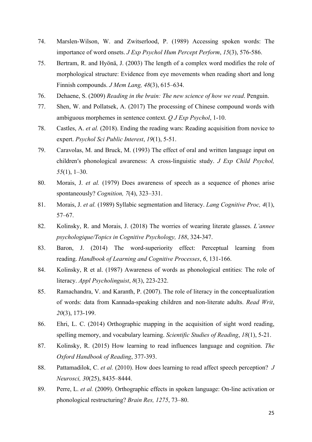- 74. Marslen-Wilson, W. and Zwitserlood, P. (1989) Accessing spoken words: The importance of word onsets. *J Exp Psychol Hum Percept Perform*, *15*(3), 576-586.
- 75. Bertram, R. and Hyönä, J. (2003) The length of a complex word modifies the role of morphological structure: Evidence from eye movements when reading short and long Finnish compounds. *J Mem Lang, 48*(3), 615–634.
- 76. Dehaene, S. (2009) *Reading in the brain: The new science of how we read*. Penguin.
- 77. Shen, W. and Pollatsek, A. (2017) The processing of Chinese compound words with ambiguous morphemes in sentence context. *Q J Exp Psychol*, 1-10.
- 78. Castles, A. *et al.* (2018). Ending the reading wars: Reading acquisition from novice to expert. *Psychol Sci Public Interest*, *19*(1), 5-51.
- 79. Caravolas, M. and Bruck, M. (1993) The effect of oral and written language input on children′s phonological awareness: A cross-linguistic study. *J Exp Child Psychol, 55*(1), 1–30.
- 80. Morais, J. *et al.* (1979) Does awareness of speech as a sequence of phones arise spontaneously? *Cognition, 7*(4), 323–331.
- 81. Morais, J. *et al.* (1989) Syllabic segmentation and literacy. *Lang Cognitive Proc, 4*(1), 57–67.
- 82. Kolinsky, R. and Morais, J. (2018) The worries of wearing literate glasses. *L'annee psychologique/Topics in Cognitive Psychology, 188*, 324-347.
- 83. Baron, J. (2014) The word-superiority effect: Perceptual learning from reading. *Handbook of Learning and Cognitive Processes*, *6*, 131-166.
- 84. Kolinsky, R et al. (1987) Awareness of words as phonological entities: The role of literacy. *Appl Psycholinguist*, *8*(3), 223-232.
- 85. Ramachandra, V. and Karanth, P. (2007). The role of literacy in the conceptualization of words: data from Kannada-speaking children and non-literate adults. *Read Writ*, *20*(3), 173-199.
- 86. Ehri, L. C. (2014) Orthographic mapping in the acquisition of sight word reading, spelling memory, and vocabulary learning. *Scientific Studies of Reading*, *18*(1), 5-21.
- 87. Kolinsky, R. (2015) How learning to read influences language and cognition. *The Oxford Handbook of Reading*, 377-393.
- 88. Pattamadilok, C. *et al.* (2010). How does learning to read affect speech perception? *J Neurosci, 30*(25), 8435–8444.
- 89. Perre, L. *et al.* (2009). Orthographic effects in spoken language: On-line activation or phonological restructuring? *Brain Res, 1275*, 73–80.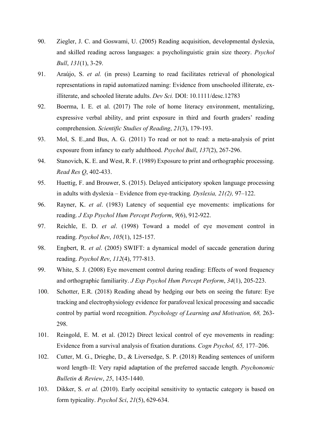- 90. Ziegler, J. C. and Goswami, U. (2005) Reading acquisition, developmental dyslexia, and skilled reading across languages: a psycholinguistic grain size theory. *Psychol Bull*, *131*(1), 3-29.
- 91. Araújo, S. *et al.* (in press) Learning to read facilitates retrieval of phonological representations in rapid automatized naming: Evidence from unschooled illiterate, exilliterate, and schooled literate adults. *Dev Sci.* DOI: 10.1111/desc.12783
- 92. Boerma, I. E. et al. (2017) The role of home literacy environment, mentalizing, expressive verbal ability, and print exposure in third and fourth graders' reading comprehension. *Scientific Studies of Reading*, *21*(3), 179-193.
- 93. Mol, S. E.,and Bus, A. G. (2011) To read or not to read: a meta-analysis of print exposure from infancy to early adulthood. *Psychol Bull*, *137*(2), 267-296.
- 94. Stanovich, K. E. and West, R. F. (1989) Exposure to print and orthographic processing. *Read Res Q*, 402-433.
- 95. Huettig, F. and Brouwer, S. (2015). Delayed anticipatory spoken language processing in adults with dyslexia – Evidence from eye-tracking*. Dyslexia, 21(2),* 97–122.
- 96. Rayner, K. *et al*. (1983) Latency of sequential eye movements: implications for reading. *J Exp Psychol Hum Percept Perform*, *9*(6), 912-922.
- 97. Reichle, E. D. *et al*. (1998) Toward a model of eye movement control in reading. *Psychol Rev*, *105*(1), 125-157.
- 98. Engbert, R. *et al*. (2005) SWIFT: a dynamical model of saccade generation during reading. *Psychol Rev*, *112*(4), 777-813.
- 99. White, S. J. (2008) Eye movement control during reading: Effects of word frequency and orthographic familiarity. *J Exp Psychol Hum Percept Perform*, *34*(1), 205-223.
- 100. Schotter, E.R. (2018) Reading ahead by hedging our bets on seeing the future: Eye tracking and electrophysiology evidence for parafoveal lexical processing and saccadic control by partial word recognition. *Psychology of Learning and Motivation, 68,* 263- 298.
- 101. Reingold, E. M. et al. (2012) Direct lexical control of eye movements in reading: Evidence from a survival analysis of fixation durations. *Cogn Psychol, 65,* 177–206.
- 102. Cutter, M. G., Drieghe, D., & Liversedge, S. P. (2018) Reading sentences of uniform word length–II: Very rapid adaptation of the preferred saccade length. *Psychonomic Bulletin & Review*, *25*, 1435-1440.
- 103. Dikker, S. *et al.* (2010). Early occipital sensitivity to syntactic category is based on form typicality. *Psychol Sci*, *21*(5), 629-634.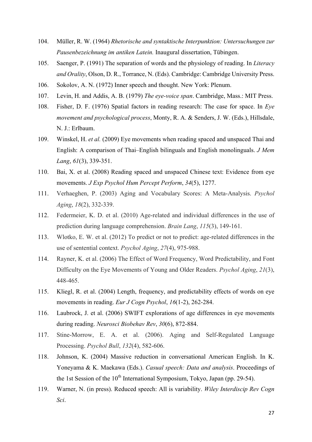- 104. Müller, R. W. (1964) *Rhetorische and syntaktische Interpunktion: Untersuchungen zur Pausenbezeichnung im antiken Latein.* Inaugural dissertation, Tübingen.
- 105. Saenger, P. (1991) The separation of words and the physiology of reading. In *Literacy and Orality*, Olson, D. R., Torrance, N. (Eds). Cambridge: Cambridge University Press.
- 106. Sokolov, A. N. (1972) Inner speech and thought. New York: Plenum.
- 107. Levin, H. and Addis, A. B. (1979) *The eye-voice span*. Cambridge, Mass.: MIT Press.
- 108. Fisher, D. F. (1976) Spatial factors in reading research: The case for space. In *Eye movement and psychological process*, Monty, R. A. & Senders, J. W. (Eds.), Hillsdale, N. J.: Erlbaum.
- 109. Winskel, H. *et al.* (2009) Eye movements when reading spaced and unspaced Thai and English: A comparison of Thai–English bilinguals and English monolinguals. *J Mem Lang*, *61*(3), 339-351.
- 110. Bai, X. et al. (2008) Reading spaced and unspaced Chinese text: Evidence from eye movements. *J Exp Psychol Hum Percept Perform*, *34*(5), 1277.
- 111. Verhaeghen, P. (2003) Aging and Vocabulary Scores: A Meta-Analysis. *Psychol Aging*, *18*(2), 332-339.
- 112. Federmeier, K. D. et al. (2010) Age-related and individual differences in the use of prediction during language comprehension. *Brain Lang*, *115*(3), 149-161.
- 113. Wlotko, E. W. et al. (2012) To predict or not to predict: age-related differences in the use of sentential context. *Psychol Aging*, *27*(4), 975-988.
- 114. Rayner, K. et al. (2006) The Effect of Word Frequency, Word Predictability, and Font Difficulty on the Eye Movements of Young and Older Readers. *Psychol Aging*, *21*(3), 448-465.
- 115. Kliegl, R. et al. (2004) Length, frequency, and predictability effects of words on eye movements in reading. *Eur J Cogn Psychol*, *16*(1-2), 262-284.
- 116. Laubrock, J. et al. (2006) SWIFT explorations of age differences in eye movements during reading. *Neurosci Biobehav Rev*, *30*(6), 872-884.
- 117. Stine-Morrow, E. A. et al. (2006). Aging and Self-Regulated Language Processing. *Psychol Bull*, *132*(4), 582-606.
- 118. Johnson, K. (2004) Massive reduction in conversational American English. In K. Yoneyama & K. Maekawa (Eds.). *Casual speech: Data and analysis*. Proceedings of the 1st Session of the  $10<sup>th</sup>$  International Symposium, Tokyo, Japan (pp. 29-54).
- 119. Warner, N. (in press). Reduced speech: All is variability. *Wiley Interdiscip Rev Cogn Sci*.